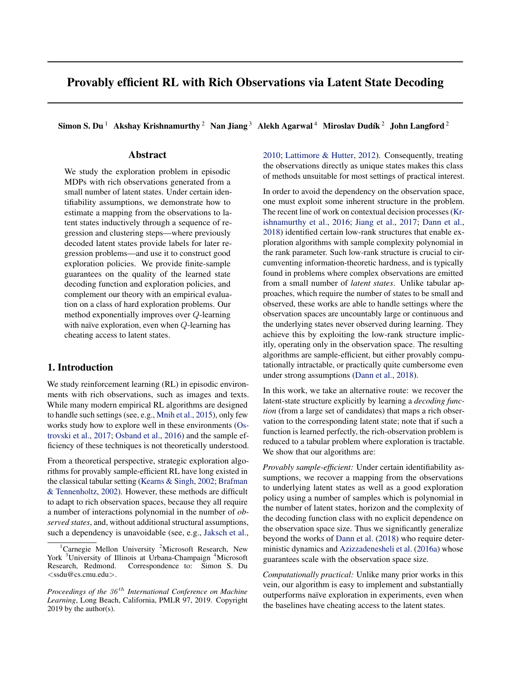# <span id="page-0-0"></span>Provably efficient RL with Rich Observations via Latent State Decoding

Simon S. Du<sup>1</sup> Akshay Krishnamurthy<sup>2</sup> Nan Jiang<sup>3</sup> Alekh Agarwal<sup>4</sup> Miroslav Dudík<sup>2</sup> John Langford<sup>2</sup>

## Abstract

We study the exploration problem in episodic MDPs with rich observations generated from a small number of latent states. Under certain identifiability assumptions, we demonstrate how to estimate a mapping from the observations to latent states inductively through a sequence of regression and clustering steps—where previously decoded latent states provide labels for later regression problems—and use it to construct good exploration policies. We provide finite-sample guarantees on the quality of the learned state decoding function and exploration policies, and complement our theory with an empirical evaluation on a class of hard exploration problems. Our method exponentially improves over *Q*-learning with naïve exploration, even when *Q*-learning has cheating access to latent states.

## 1. Introduction

We study reinforcement learning (RL) in episodic environments with rich observations, such as images and texts. While many modern empirical RL algorithms are designed to handle such settings (see, e.g., [Mnih et al.,](#page-8-0) [2015\)](#page-8-0), only few works study how to explore well in these environments [\(Os](#page-8-0)[trovski et al.,](#page-8-0) [2017;](#page-8-0) [Osband et al.,](#page-8-0) [2016\)](#page-8-0) and the sample efficiency of these techniques is not theoretically understood.

From a theoretical perspective, strategic exploration algorithms for provably sample-efficient RL have long existed in the classical tabular setting [\(Kearns & Singh,](#page-8-0) [2002;](#page-8-0) [Brafman](#page-8-0) [& Tennenholtz,](#page-8-0) [2002\)](#page-8-0). However, these methods are difficult to adapt to rich observation spaces, because they all require a number of interactions polynomial in the number of *observed states*, and, without additional structural assumptions, such a dependency is unavoidable (see, e.g., [Jaksch et al.,](#page-8-0) [2010;](#page-8-0) [Lattimore & Hutter,](#page-8-0) [2012\)](#page-8-0). Consequently, treating the observations directly as unique states makes this class of methods unsuitable for most settings of practical interest.

In order to avoid the dependency on the observation space, one must exploit some inherent structure in the problem. The recent line of work on contextual decision processes [\(Kr](#page-8-0)[ishnamurthy et al.,](#page-8-0) [2016;](#page-8-0) [Jiang et al.,](#page-8-0) [2017;](#page-8-0) [Dann et al.,](#page-8-0) [2018\)](#page-8-0) identified certain low-rank structures that enable exploration algorithms with sample complexity polynomial in the rank parameter. Such low-rank structure is crucial to circumventing information-theoretic hardness, and is typically found in problems where complex observations are emitted from a small number of *latent states*. Unlike tabular approaches, which require the number of states to be small and observed, these works are able to handle settings where the observation spaces are uncountably large or continuous and the underlying states never observed during learning. They achieve this by exploiting the low-rank structure implicitly, operating only in the observation space. The resulting algorithms are sample-efficient, but either provably computationally intractable, or practically quite cumbersome even under strong assumptions [\(Dann et al.,](#page-8-0) [2018\)](#page-8-0).

In this work, we take an alternative route: we recover the latent-state structure explicitly by learning a *decoding function* (from a large set of candidates) that maps a rich observation to the corresponding latent state; note that if such a function is learned perfectly, the rich-observation problem is reduced to a tabular problem where exploration is tractable. We show that our algorithms are:

*Provably sample-efficient:* Under certain identifiability assumptions, we recover a mapping from the observations to underlying latent states as well as a good exploration policy using a number of samples which is polynomial in the number of latent states, horizon and the complexity of the decoding function class with no explicit dependence on the observation space size. Thus we significantly generalize beyond the works of [Dann et al.](#page-8-0) [\(2018\)](#page-8-0) who require deterministic dynamics and [Azizzadenesheli et al.](#page-8-0) [\(2016a\)](#page-8-0) whose guarantees scale with the observation space size.

*Computationally practical:* Unlike many prior works in this vein, our algorithm is easy to implement and substantially outperforms naïve exploration in experiments, even when the baselines have cheating access to the latent states.

<sup>&</sup>lt;sup>1</sup>Carnegie Mellon University <sup>2</sup>Microsoft Research, New York <sup>3</sup>University of Illinois at Urbana-Champaign <sup>4</sup>Microsoft Research, Redmond. Correspondence to: Simon S. Du *<*ssdu@cs.cmu.edu*>*.

*Proceedings of the 36 th International Conference on Machine Learning*, Long Beach, California, PMLR 97, 2019. Copyright  $2019$  by the author(s).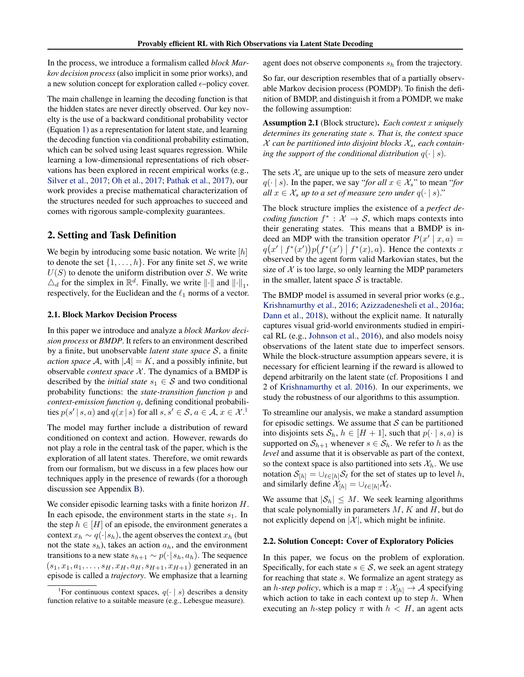<span id="page-1-0"></span>In the process, we introduce a formalism called *block Markov decision process* (also implicit in some prior works), and a new solution concept for exploration called  $\epsilon$ –policy cover.

The main challenge in learning the decoding function is that the hidden states are never directly observed. Our key novelty is the use of a backward conditional probability vector (Equation [1\)](#page-3-0) as a representation for latent state, and learning the decoding function via conditional probability estimation, which can be solved using least squares regression. While learning a low-dimensional representations of rich observations has been explored in recent empirical works (e.g., [Silver et al.,](#page-8-0) [2017;](#page-8-0) [Oh et al.,](#page-8-0) [2017;](#page-8-0) [Pathak et al.,](#page-8-0) [2017\)](#page-8-0), our work provides a precise mathematical characterization of the structures needed for such approaches to succeed and comes with rigorous sample-complexity guarantees.

## 2. Setting and Task Definition

We begin by introducing some basic notation. We write [*h*] to denote the set  $\{1, \ldots, h\}$ . For any finite set *S*, we write *U*(*S*) to denote the uniform distribution over *S*. We write  $\Delta_d$  for the simplex in  $\mathbb{R}^d$ . Finally, we write  $\|\cdot\|$  and  $\|\cdot\|_1$ , respectively, for the Euclidean and the  $\ell_1$  norms of a vector.

## 2.1. Block Markov Decision Process

In this paper we introduce and analyze a *block Markov decision process* or *BMDP*. It refers to an environment described by a finite, but unobservable *latent state space S*, a finite *action space* A, with  $|A| = K$ , and a possibly infinite, but observable *context space*  $X$ . The dynamics of a BMDP is described by the *initial state*  $s_1 \in S$  and two conditional probability functions: the *state-transition function p* and *context-emission function q*, defining conditional probabilities  $p(s' | s, a)$  and  $q(x | s)$  for all  $s, s' \in S$ ,  $a \in A$ ,  $x \in \mathcal{X}$ .<sup>1</sup>

The model may further include a distribution of reward conditioned on context and action. However, rewards do not play a role in the central task of the paper, which is the exploration of all latent states. Therefore, we omit rewards from our formalism, but we discuss in a few places how our techniques apply in the presence of rewards (for a thorough discussion see Appendix [B\)](#page-0-0).

We consider episodic learning tasks with a finite horizon *H*. In each episode, the environment starts in the state  $s_1$ . In the step  $h \in [H]$  of an episode, the environment generates a context  $x_h \sim q(\cdot|s_h)$ , the agent observes the context  $x_h$  (but not the state *sh*), takes an action *ah*, and the environment transitions to a new state  $s_{h+1} \sim p(\cdot | s_h, a_h)$ . The sequence  $(s_1, x_1, a_1, \ldots, s_H, x_H, a_H, s_{H+1}, x_{H+1})$  generated in an episode is called a *trajectory*. We emphasize that a learning

agent does not observe components *s<sup>h</sup>* from the trajectory.

So far, our description resembles that of a partially observable Markov decision process (POMDP). To finish the definition of BMDP, and distinguish it from a POMDP, we make the following assumption:

Assumption 2.1 (Block structure). *Each context x uniquely determines its generating state s. That is, the context space X can be partitioned into disjoint blocks Xs, each containing the support of the conditional distribution*  $q(\cdot | s)$ *.* 

The sets  $X_s$  are unique up to the sets of measure zero under  $q(\cdot | s)$ . In the paper, we say "*for all*  $x \in \mathcal{X}_s$ " to mean "*for all*  $x \in \mathcal{X}_s$  *up to a set of measure zero under*  $q(\cdot | s)$ ."

The block structure implies the existence of a *perfect decoding function*  $f^*$  :  $\mathcal{X} \to \mathcal{S}$ , which maps contexts into their generating states. This means that a BMDP is indeed an MDP with the transition operator  $P(x' | x, a) =$  $q(x' | f^*(x'))p(f^*(x') | f^*(x), a)$ . Hence the contexts *x* observed by the agent form valid Markovian states, but the size of  $X$  is too large, so only learning the MDP parameters in the smaller, latent space  $S$  is tractable.

The BMDP model is assumed in several prior works (e.g., [Krishnamurthy et al.,](#page-8-0) [2016;](#page-8-0) [Azizzadenesheli et al.,](#page-8-0) [2016a;](#page-8-0) [Dann et al.,](#page-8-0) [2018\)](#page-8-0), without the explicit name. It naturally captures visual grid-world environments studied in empirical RL (e.g., [Johnson et al.,](#page-8-0) [2016\)](#page-8-0), and also models noisy observations of the latent state due to imperfect sensors. While the block-structure assumption appears severe, it is necessary for efficient learning if the reward is allowed to depend arbitrarily on the latent state (cf. Propositions 1 and 2 of [Krishnamurthy et al.](#page-8-0) [2016\)](#page-8-0). In our experiments, we study the robustness of our algorithms to this assumption.

To streamline our analysis, we make a standard assumption for episodic settings. We assume that *S* can be partitioned into disjoints sets  $S_h$ ,  $h \in [H + 1]$ , such that  $p(\cdot | s, a)$  is supported on  $S_{h+1}$  whenever  $s \in S_h$ . We refer to *h* as the *level* and assume that it is observable as part of the context, so the context space is also partitioned into sets  $\mathcal{X}_h$ . We use notation  $S_{[h]} = \bigcup_{\ell \in [h]} S_{\ell}$  for the set of states up to level *h*, and similarly define  $\mathcal{X}_{[h]} = \bigcup_{\ell \in [h]} \mathcal{X}_{\ell}$ .

We assume that  $|\mathcal{S}_h| \leq M$ . We seek learning algorithms that scale polynomially in parameters *M*, *K* and *H*, but do not explicitly depend on  $|\mathcal{X}|$ , which might be infinite.

### 2.2. Solution Concept: Cover of Exploratory Policies

In this paper, we focus on the problem of exploration. Specifically, for each state  $s \in S$ , we seek an agent strategy for reaching that state *s*. We formalize an agent strategy as an *h*-step policy, which is a map  $\pi$  :  $\mathcal{X}_{[h]} \to \mathcal{A}$  specifying which action to take in each context up to step *h*. When executing an *h*-step policy  $\pi$  with  $h < H$ , an agent acts

<sup>&</sup>lt;sup>1</sup>For continuous context spaces,  $q(\cdot | s)$  describes a density function relative to a suitable measure (e.g., Lebesgue measure).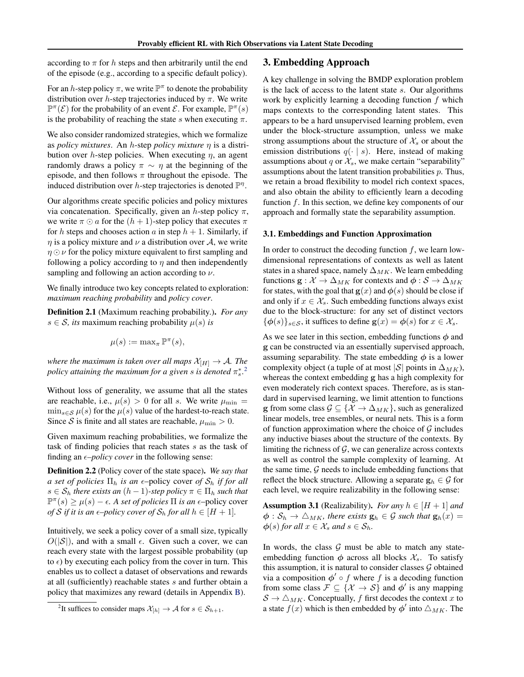<span id="page-2-0"></span>according to  $\pi$  for h steps and then arbitrarily until the end of the episode (e.g., according to a specific default policy).

For an *h*-step policy  $\pi$ , we write  $\mathbb{P}^{\pi}$  to denote the probability distribution over *h*-step trajectories induced by  $\pi$ . We write  $\mathbb{P}^{\pi}(\mathcal{E})$  for the probability of an event  $\mathcal{E}$ . For example,  $\mathbb{P}^{\pi}(s)$ is the probability of reaching the state *s* when executing  $\pi$ .

We also consider randomized strategies, which we formalize as *policy mixtures*. An *h*-step *policy mixture*  $\eta$  is a distribution over *h*-step policies. When executing  $\eta$ , an agent randomly draws a policy  $\pi \sim \eta$  at the beginning of the episode, and then follows  $\pi$  throughout the episode. The induced distribution over *h*-step trajectories is denoted  $\mathbb{P}^{\eta}$ .

Our algorithms create specific policies and policy mixtures via concatenation. Specifically, given an *h*-step policy  $\pi$ , we write  $\pi \odot a$  for the  $(h + 1)$ -step policy that executes  $\pi$ for *h* steps and chooses action *a* in step  $h + 1$ . Similarly, if  $\eta$  is a policy mixture and  $\nu$  a distribution over A, we write  $\eta \odot \nu$  for the policy mixture equivalent to first sampling and following a policy according to  $\eta$  and then independently sampling and following an action according to  $\nu$ .

We finally introduce two key concepts related to exploration: *maximum reaching probability* and *policy cover*.

Definition 2.1 (Maximum reaching probability.). *For any*  $s \in S$ *, its* maximum reaching probability  $\mu(s)$  *is* 

$$
\mu(s) := \max_{\pi} \mathbb{P}^{\pi}(s),
$$

*where the maximum is taken over all maps*  $\mathcal{X}_{[H]} \to \mathcal{A}$ *. The* policy attaining the maximum for a given  $s$  is denoted  $\pi_s^*$ .<sup>2</sup>

Without loss of generality, we assume that all the states are reachable, i.e.,  $\mu(s) > 0$  for all *s*. We write  $\mu_{\min} =$  $\min_{s \in \mathcal{S}} \mu(s)$  for the  $\mu(s)$  value of the hardest-to-reach state. Since *S* is finite and all states are reachable,  $\mu_{\min} > 0$ .

Given maximum reaching probabilities, we formalize the task of finding policies that reach states *s* as the task of finding an  $\epsilon$ -*policy cover* in the following sense:

Definition 2.2 (Policy cover of the state space). *We say that a set of policies*  $\Pi_h$  *is an*  $\epsilon$ -policy cover *of*  $S_h$  *if for all*  $s \in \mathcal{S}_h$  *there exists an*  $(h-1)$ *-step policy*  $\pi \in \Pi_h$  *such that*  $\mathbb{P}^{\pi}(s) \ge \mu(s) - \epsilon$ . A set of policies  $\Pi$  is an  $\epsilon$ -policy cover *of S if it is an*  $\epsilon$ *–policy cover of*  $S_h$  *for all*  $h \in [H+1]$ *.* 

Intuitively, we seek a policy cover of a small size, typically  $O(|\mathcal{S}|)$ , and with a small  $\epsilon$ . Given such a cover, we can reach every state with the largest possible probability (up to  $\epsilon$ ) by executing each policy from the cover in turn. This enables us to collect a dataset of observations and rewards at all (sufficiently) reachable states *s* and further obtain a policy that maximizes any reward (details in Appendix [B\)](#page-0-0).

## 3. Embedding Approach

A key challenge in solving the BMDP exploration problem is the lack of access to the latent state *s*. Our algorithms work by explicitly learning a decoding function *f* which maps contexts to the corresponding latent states. This appears to be a hard unsupervised learning problem, even under the block-structure assumption, unless we make strong assumptions about the structure of  $\mathcal{X}_s$  or about the emission distributions  $q(\cdot | s)$ . Here, instead of making assumptions about *q* or  $\mathcal{X}_s$ , we make certain "separability" assumptions about the latent transition probabilities *p*. Thus, we retain a broad flexibility to model rich context spaces, and also obtain the ability to efficiently learn a decoding function *f*. In this section, we define key components of our approach and formally state the separability assumption.

### 3.1. Embeddings and Function Approximation

In order to construct the decoding function *f*, we learn lowdimensional representations of contexts as well as latent states in a shared space, namely  $\Delta_{MK}$ . We learn embedding functions  $\mathbf{g} : \mathcal{X} \to \Delta_{MK}$  for contexts and  $\phi : \mathcal{S} \to \Delta_{MK}$ for states, with the goal that  $g(x)$  and  $\phi(s)$  should be close if and only if  $x \in \mathcal{X}_s$ . Such embedding functions always exist due to the block-structure: for any set of distinct vectors  $\{\phi(s)\}_{s\in\mathcal{S}}$ , it suffices to define  $\mathbf{g}(x) = \phi(s)$  for  $x \in \mathcal{X}_s$ .

As we see later in this section, embedding functions  $\phi$  and g can be constructed via an essentially supervised approach, assuming separability. The state embedding  $\phi$  is a lower complexity object (a tuple of at most  $|S|$  points in  $\Delta_{MK}$ ), whereas the context embedding g has a high complexity for even moderately rich context spaces. Therefore, as is standard in supervised learning, we limit attention to functions **g** from some class  $\mathcal{G} \subseteq \{ \mathcal{X} \to \Delta_{MK} \}$ , such as generalized linear models, tree ensembles, or neural nets. This is a form of function approximation where the choice of *G* includes any inductive biases about the structure of the contexts. By limiting the richness of *G*, we can generalize across contexts as well as control the sample complexity of learning. At the same time, *G* needs to include embedding functions that reflect the block structure. Allowing a separate  $\mathbf{g}_h \in \mathcal{G}$  for each level, we require realizability in the following sense:

**Assumption 3.1** (Realizability). *For any*  $h \in [H + 1]$  *and*  $\phi : \mathcal{S}_h \to \triangle_{MK}$ , there exists  $\mathbf{g}_h \in \mathcal{G}$  such that  $\mathbf{g}_h(x) =$  $\phi(s)$  *for all*  $x \in \mathcal{X}_s$  *and*  $s \in \mathcal{S}_h$ *.* 

In words, the class  $G$  must be able to match any stateembedding function  $\phi$  across all blocks  $\mathcal{X}_s$ . To satisfy this assumption, it is natural to consider classes *G* obtained via a composition  $\phi' \circ f$  where f is a decoding function from some class  $\mathcal{F} \subseteq \{ \mathcal{X} \to \mathcal{S} \}$  and  $\phi'$  is any mapping  $S \rightarrow \triangle_{MK}$ . Conceptually, *f* first decodes the context *x* to a state  $f(x)$  which is then embedded by  $\phi'$  into  $\triangle_{MK}$ . The

<sup>&</sup>lt;sup>2</sup>It suffices to consider maps  $\mathcal{X}_{[h]} \to \mathcal{A}$  for  $s \in \mathcal{S}_{h+1}$ .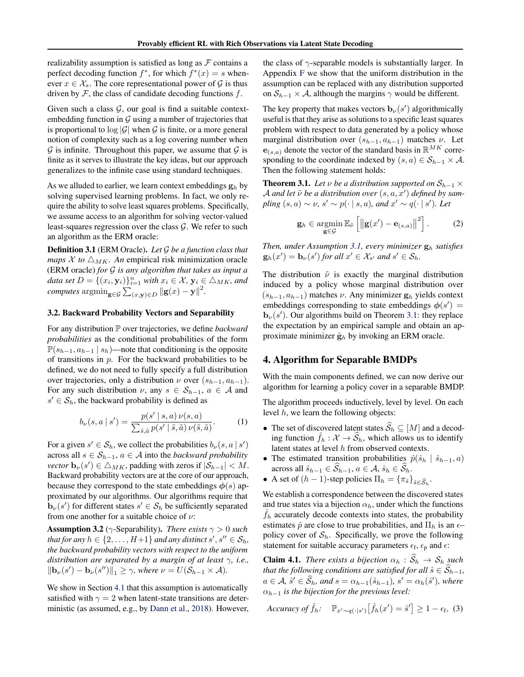<span id="page-3-0"></span>realizability assumption is satisfied as long as  $\mathcal F$  contains a perfect decoding function  $f^*$ , for which  $f^*(x) = s$  whenever  $x \in \mathcal{X}_s$ . The core representational power of  $\mathcal{G}$  is thus driven by *F*, the class of candidate decoding functions *f*.

Given such a class  $G$ , our goal is find a suitable contextembedding function in *G* using a number of trajectories that is proportional to  $\log |\mathcal{G}|$  when  $\mathcal G$  is finite, or a more general notion of complexity such as a log covering number when  $G$  is infinite. Throughout this paper, we assume that  $G$  is finite as it serves to illustrate the key ideas, but our approach generalizes to the infinite case using standard techniques.

As we alluded to earlier, we learn context embeddings g*<sup>h</sup>* by solving supervised learning problems. In fact, we only require the ability to solve least squares problems. Specifically, we assume access to an algorithm for solving vector-valued least-squares regression over the class *G*. We refer to such an algorithm as the ERM oracle:

Definition 3.1 (ERM Oracle). *Let G be a function class that maps*  $X$  *to*  $\Delta_{MK}$ *. An* empirical risk minimization oracle (ERM oracle) *for G is any algorithm that takes as input a data set*  $D = \{(x_i, \mathbf{y}_i)\}_{i=1}^n$  *with*  $x_i \in \mathcal{X}$ ,  $\mathbf{y}_i \in \triangle_{MK}$ *, and computes*  $\operatorname{argmin}_{\mathbf{g} \in \mathcal{G}} \sum_{(x, \mathbf{y}) \in D} ||\mathbf{g}(x) - \mathbf{y}||^2$ .

#### 3.2. Backward Probability Vectors and Separability

For any distribution P over trajectories, we define *backward probabilities* as the conditional probabilities of the form  $\mathbb{P}(s_{h-1}, a_{h-1} | s_h)$ —note that conditioning is the opposite of transitions in *p*. For the backward probabilities to be defined, we do not need to fully specify a full distribution over trajectories, only a distribution  $\nu$  over  $(s_{h-1}, a_{h-1})$ . For any such distribution  $\nu$ , any  $s \in S_{h-1}$ ,  $a \in A$  and  $s' \in S_h$ , the backward probability is defined as

$$
b_{\nu}(s, a \mid s') = \frac{p(s' \mid s, a) \nu(s, a)}{\sum_{\tilde{s}, \tilde{a}} p(s' \mid \tilde{s}, \tilde{a}) \nu(\tilde{s}, \tilde{a})}.
$$
 (1)

For a given  $s' \in S_h$ , we collect the probabilities  $b_\nu(s, a \mid s')$ across all  $s \in S_{h-1}$ ,  $a \in A$  into the *backward probability vector*  $\mathbf{b}_{\nu}(s') \in \triangle_{MK}$ , padding with zeros if  $|\mathcal{S}_{h-1}| < M$ . Backward probability vectors are at the core of our approach, because they correspond to the state embeddings  $\phi(s)$  approximated by our algorithms. Our algorithms require that  $\mathbf{b}_{\nu}(s')$  for different states  $s' \in S_h$  be sufficiently separated from one another for a suitable choice of  $\nu$ :

**Assumption 3.2** ( $\gamma$ -Separability). *There exists*  $\gamma > 0$  *such that for any*  $h \in \{2, \ldots, H+1\}$  *and any distinct*  $s', s'' \in S_h$ *, the backward probability vectors with respect to the uniform distribution are separated by a margin of at least*  $\gamma$ , *i.e.*,  $\|\mathbf{b}_{\nu}(s') - \mathbf{b}_{\nu}(s'')\|_1 \geq \gamma$ , where  $\nu = U(\mathcal{S}_{h-1} \times \mathcal{A})$ .

We show in Section [4.1](#page-5-0) that this assumption is automatically satisfied with  $\gamma = 2$  when latent-state transitions are deterministic (as assumed, e.g., by [Dann et al.,](#page-8-0) [2018\)](#page-8-0). However, the class of  $\gamma$ -separable models is substantially larger. In Appendix [F](#page-0-0) we show that the uniform distribution in the assumption can be replaced with any distribution supported on  $S_{h-1} \times A$ , although the margins  $\gamma$  would be different.

The key property that makes vectors  $\mathbf{b}_{\nu}(s')$  algorithmically useful is that they arise as solutions to a specific least squares problem with respect to data generated by a policy whose marginal distribution over  $(s_{h-1}, a_{h-1})$  matches  $\nu$ . Let  $e_{(s,a)}$  denote the vector of the standard basis in  $\mathbb{R}^{MK}$  corresponding to the coordinate indexed by  $(s, a) \in S_{h-1} \times A$ . Then the following statement holds:

**Theorem 3.1.** Let  $\nu$  be a distribution supported on  $S_{h-1} \times$  $A$  *and let*  $\tilde{\nu}$  *be a distribution over*  $(s, a, x')$  *defined by sam-* $\text{pling } (s, a) \sim \nu, s' \sim p(\cdot | s, a)$ , and  $x' \sim q(\cdot | s')$ . Let

$$
\mathbf{g}_h \in \operatorname*{argmin}_{\mathbf{g} \in \mathcal{G}} \mathbb{E}_{\tilde{\nu}} \left[ \left\| \mathbf{g}(x') - \mathbf{e}_{(s,a)} \right\|^2 \right]. \tag{2}
$$

*Then, under Assumption [3.1,](#page-2-0) every minimizer* g*<sup>h</sup> satisfies*  $\mathbf{g}_h(x') = \mathbf{b}_\nu(s')$  for all  $x' \in \mathcal{X}_{s'}$  and  $s' \in \mathcal{S}_h$ .

The distribution  $\tilde{\nu}$  is exactly the marginal distribution induced by a policy whose marginal distribution over  $(s_{h-1}, a_{h-1})$  matches  $\nu$ . Any minimizer  $g_h$  yields context embeddings corresponding to state embeddings  $\phi(s') =$ **. Our algorithms build on Theorem 3.1: they replace** the expectation by an empirical sample and obtain an approximate minimizer  $\hat{\mathbf{g}}_h$  by invoking an ERM oracle.

## 4. Algorithm for Separable BMDPs

With the main components defined, we can now derive our algorithm for learning a policy cover in a separable BMDP.

The algorithm proceeds inductively, level by level. On each level *h*, we learn the following objects:

- The set of discovered latent states  $\widehat{S}_h \subseteq [M]$  and a decoding function  $\hat{f}_h : \mathcal{X} \to \mathcal{S}_h$ , which allows us to identify latent states at level *h* from observed contexts.
- The estimated transition probabilities  $\hat{p}(\hat{s}_h | \hat{s}_{h-1}, a)$ across all  $\hat{s}_{h-1} \in \widehat{S}_{h-1}$ ,  $a \in \mathcal{A}, \hat{s}_h \in \widehat{S}_h$ .
- A set of  $(h-1)$ -step policies  $\Pi_h = {\pi_{\hat{s}}}_{\hat{s} \in \hat{S}_h}$ .

We establish a correspondence between the discovered states and true states via a bijection  $\alpha_h$ , under which the functions  $\hat{f}_h$  accurately decode contexts into states, the probability estimates  $\hat{p}$  are close to true probabilities, and  $\Pi_h$  is an  $\epsilon$ – policy cover of  $S_h$ . Specifically, we prove the following statement for suitable accuracy parameters  $\epsilon_f$ ,  $\epsilon_p$  and  $\epsilon$ :

**Claim 4.1.** *There exists a bijection*  $\alpha_h : \mathcal{S}_h \to \mathcal{S}_h$  *such that the following conditions are satisfied for all*  $\hat{s} \in \widehat{S}_{h-1}$ *,*  $a \in \mathcal{A}, \hat{s}' \in \mathcal{S}_h$ *, and*  $s = \alpha_{h-1}(\hat{s}_{h-1})$ *,*  $s' = \alpha_h(\hat{s}')$ *, where*  $\alpha_{h-1}$  *is the bijection for the previous level:* 

$$
Accuracy of \hat{f}_h: \quad \mathbb{P}_{x' \sim q(\cdot | s')} [\hat{f}_h(x') = \hat{s}'] \ge 1 - \epsilon_f, \tag{3}
$$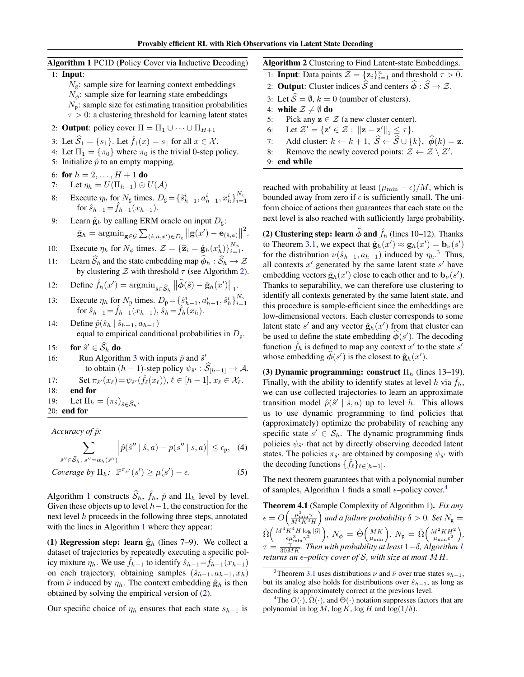<span id="page-4-0"></span>Algorithm 1 PCID (Policy Cover via Inductive Decoding) 1: Input:  $N_g$ : sample size for learning context embeddings  $N_{\phi}$ : sample size for learning state embeddings *N*p: sample size for estimating transition probabilities  $\tau > 0$ : a clustering threshold for learning latent states 2: **Output**: policy cover  $\Pi = \Pi_1 \cup \cdots \cup \Pi_{H+1}$ 3: Let  $\widehat{S}_1 = \{s_1\}$ . Let  $\widehat{f}_1(x) = s_1$  for all  $x \in \mathcal{X}$ . 4: Let  $\Pi_1 = {\pi_0}$  where  $\pi_0$  is the trivial 0-step policy. 5: Initialize  $\hat{p}$  to an empty mapping. 6: for  $h = 2, ..., H + 1$  do 7: Let  $\eta_h = U(\Pi_{h-1}) \odot U(\mathcal{A})$ 8: Execute  $\eta_h$  for  $N_g$  times.  $D_g = {\hat{s}_{h-1}^i, a_{h-1}^i, x_h^i}$ ,  $N_g$ for  $\hat{s}_{h-1} = f_{h-1}(x_{h-1}).$ 9: Learn  $\hat{\mathbf{g}}_h$  by calling ERM oracle on input  $D_g$ :  $\hat{\mathbf{g}}_h = \mathop{\rm argmin}\nolimits_{\mathbf{g}\in\mathcal{G}} \sum_{(\hat{s},a,x')\in D_{\mathbf{g}}}\big\|\mathbf{g}(x')-\mathbf{e}_{(\hat{s},a)}\big\|^2.$ 10: Execute  $\eta_h$  for  $N_\phi$  times.  $\mathcal{Z} = {\hat{\mathbf{z}}_i = \hat{\mathbf{g}}_h(x_h^i)}\bigg\}_{i=1}^{N_\phi}$ . 11: Learn  $\widehat{S}_h$  and the state embedding map  $\widehat{\phi}_h : \widehat{S}_h \to \mathcal{Z}$ by clustering  $Z$  with threshold  $\tau$  (see Algorithm 2). 12: Define  $\hat{f}_h(x') = \operatorname{argmin}_{\hat{s} \in \widehat{S}_h} ||\widehat{\phi}(\hat{s}) - \hat{\mathbf{g}}_h(x')||_1$ . 13: Execute  $\eta_h$  for  $N_p$  times.  $D_p = {\hat{s}_{h-1}^i, a_{h-1}^i, \hat{s}_h^i}_{i=1}^N$ <br>for  $\hat{s}_{h-1} = \hat{f}_{h-1}(x_{h-1}), \hat{s}_h = \hat{f}_h(x_h)$ . 14: Define  $\hat{p}(\hat{s}_h | \hat{s}_{h-1}, a_{h-1})$ Algorithm 2 Clustering to Find Latent-state Embeddings. 1: **Input**: Data points  $Z = \{z_i\}_{i=1}^n$  and threshold  $\tau > 0$ . 2: **Output**: Cluster indices  $\widehat{S}$  and centers  $\widehat{\phi} : \widehat{S} \to \mathcal{Z}$ . 3: Let  $\widehat{S} = \emptyset$ ,  $k = 0$  (number of clusters). 4: **while**  $\mathcal{Z} \neq \emptyset$  **do**<br>5: Pick any  $z \in \mathcal{Z}$ 5: Pick any  $\mathbf{z} \in \mathcal{Z}$  (a new cluster center).<br>6: Let  $\mathcal{Z}' = {\mathbf{z}' \in \mathcal{Z} : ||\mathbf{z} - \mathbf{z}'||_1 \leq \tau}.$ 6: Let  $\mathcal{Z}' = \{ \mathbf{z}' \in \mathcal{Z} : ||\mathbf{z} - \mathbf{z}'||_1 \leq \tau \}.$ 7: Add cluster:  $k \leftarrow k + 1$ ,  $\hat{S} \leftarrow \hat{S} \cup \{k\}$ ,  $\hat{\phi}(k) = \mathbf{z}$ .<br>8: Remove the newly covered points:  $\mathcal{Z} \leftarrow \mathcal{Z} \setminus \mathcal{Z}'$ . 8: Remove the newly covered points:  $\mathcal{Z} \leftarrow \mathcal{Z} \setminus \mathcal{Z}'$ . 9: end while reached with probability at least  $(\mu_{\min} - \epsilon)/M$ , which is bounded away from zero if  $\epsilon$  is sufficiently small. The uniform choice of actions then guarantees that each state on the next level is also reached with sufficiently large probability. (2) Clustering step: learn  $\phi$  and  $\hat{f}_h$  (lines 10–12). Thanks to Theorem [3.1,](#page-3-0) we expect that  $\hat{\mathbf{g}}_h(x') \approx \mathbf{g}_h(x') = \mathbf{b}_\nu(s')$ for the distribution  $\nu(\hat{s}_{h-1}, a_{h-1})$  induced by  $\eta_h$ <sup>3</sup>. Thus, all contexts  $x<sup>0</sup>$  generated by the same latent state  $s<sup>0</sup>$  have embedding vectors  $\hat{\mathbf{g}}_h(x')$  close to each other and to  $\mathbf{b}_{\nu}(s')$ . Thanks to separability, we can therefore use clustering to identify all contexts generated by the same latent state, and this procedure is sample-efficient since the embeddings are

low-dimensional vectors. Each cluster corresponds to some latent state  $s'$  and any vector  $\hat{\mathbf{g}}_h(x')$  from that cluster can be used to define the state embedding  $\phi(s')$ . The decoding function  $f_h$  is defined to map any context  $x'$  to the state  $s'$ whose embedding  $\phi(s')$  is the closest to  $\hat{\mathbf{g}}_h(x')$ .

(3) Dynamic programming: construct  $\Pi_h$  (lines 13–19). Finally, with the ability to identify states at level  $h$  via  $f_h$ , we can use collected trajectories to learn an approximate transition model  $\hat{p}(\hat{s}^{\prime} | \hat{s}, a)$  up to level *h*. This allows us to use dynamic programming to find policies that (approximately) optimize the probability of reaching any specific state  $s' \in S_h$ . The dynamic programming finds policies  $\psi_{\hat{s}'}$  that act by directly observing decoded latent states. The policies  $\pi_{\hat{s}'}$  are obtained by composing  $\psi_{\hat{s}'}$  with the decoding functions  $\{f_{\ell}\}_{\ell \in [h-1]}$ .

The next theorem guarantees that with a polynomial number of samples, Algorithm 1 finds a small  $\epsilon$ –policy cover.<sup>4</sup>

Theorem 4.1 (Sample Complexity of Algorithm 1). *Fix any*  $\epsilon = O\left(\frac{\mu_{\min}^3 \gamma}{M^4 K^3 H}\right)$  $\int$  and a failure probability  $\delta > 0$ . Set  $N_g =$  $\tilde{\Omega}\bigg(\frac{M^4K^4H\log|\mathcal{G}|}{\epsilon\mu_{\min}^3\gamma^2}$  $\int$ ,  $N_{\phi} = \tilde{\Theta}\left(\frac{MK}{\mu_{\min}}\right)$ ,  $N_{\rm p} = \tilde{\Omega}\left(\frac{M^2KH^2}{\mu_{\min}\epsilon^2}\right)$ ⌘ *,*  $\tau = \frac{\gamma^{min}}{30MK}$ . Then with probability at least  $1-\delta$ , Algorithm 1 *returns an*  $\epsilon$ *–policy cover of S, with size at most*  $MH$ *.* 

- equal to empirical conditional probabilities in *D*p.
- 15: **for**  $\hat{s}' \in \widehat{S}_h$  **do**<br>16: **Run Algorith**
- Run Algorithm [3](#page-5-0) with inputs  $\hat{p}$  and  $\hat{s}$ <sup>'</sup> to obtain  $(h - 1)$ -step policy  $\psi_{\hat{s}'} : \mathcal{S}_{[h-1]} \to \mathcal{A}$ .

17: 
$$
\operatorname{Set} \pi_{\hat{s}'}(x_\ell) = \psi_{\hat{s}'}(\hat{f}_\ell(x_\ell)), \ell \in [h-1], x_\ell \in \mathcal{X}_\ell.
$$

- 18: end for
- 19: Let  $\Pi_h = (\pi_{\hat{s}})_{\hat{s} \in \hat{S}_h}$ .
- 20: end for

*Accuracy of p*ˆ*:*

$$
\sum_{\hat{s}'' \in \widehat{\mathcal{S}}_h, \ s'' = \alpha_h(\hat{s}'')} \left| \hat{p}(\hat{s}'' \mid \hat{s}, a) - p(s'' \mid s, a) \right| \le \epsilon_p, \quad (4)
$$

*Coverage by*  $\Pi_h$ *:*  $\mathbb{P}^{\pi_{s'}}(s') \ge \mu(s') - \epsilon$ . (5)

Algorithm 1 constructs  $\widehat{S}_h$ ,  $\widehat{f}_h$ ,  $\widehat{p}$  and  $\Pi_h$  level by level. Given these objects up to level  $h-1$ , the construction for the next level *h* proceeds in the following three steps, annotated with the lines in Algorithm 1 where they appear:

(1) **Regression step: learn**  $\hat{\mathbf{g}}_h$  (lines 7–9). We collect a dataset of trajectories by repeatedly executing a specific policy mixture  $\eta_h$ . We use  $f_{h-1}$  to identify  $\hat{s}_{h-1} = f_{h-1}(x_{h-1})$ on each trajectory, obtaining samples  $(\hat{s}_{h-1}, a_{h-1}, x_h)$ from  $\tilde{\nu}$  induced by  $\eta_h$ . The context embedding  $\hat{\mathbf{g}}_h$  is then obtained by solving the empirical version of [\(2\)](#page-3-0).

Our specific choice of  $\eta_h$  ensures that each state  $s_{h-1}$  is

<sup>&</sup>lt;sup>3</sup>Theorem [3.1](#page-3-0) uses distributions  $\nu$  and  $\tilde{\nu}$  over true states  $s_{h-1}$ , but its analog also holds for distributions over  $\hat{s}_{h-1}$ , as long as decoding is approximately correct at the previous level.

<sup>&</sup>lt;sup>4</sup>The  $\tilde{O}(\cdot)$ ,  $\tilde{\Omega}(\cdot)$ , and  $\tilde{\Theta}(\cdot)$  notation suppresses factors that are polynomial in  $\log M$ ,  $\log K$ ,  $\log H$  and  $\log(1/\delta)$ .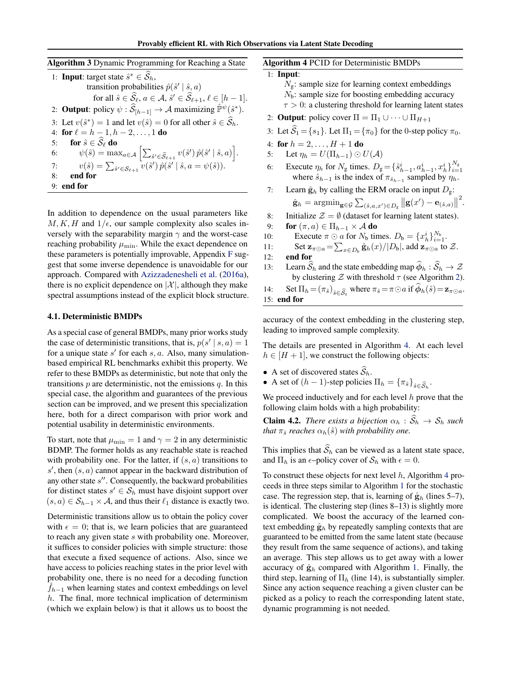<span id="page-5-0"></span>

| Algorithm 3 Dynamic Programming for Reaching a State                                                                                                           |
|----------------------------------------------------------------------------------------------------------------------------------------------------------------|
| 1: <b>Input:</b> target state $\hat{s}^* \in \widehat{S}_h$ ,                                                                                                  |
| transition probabilities $\hat{p}(\hat{s}'   \hat{s}, a)$                                                                                                      |
| for all $\hat{s} \in \widehat{\mathcal{S}}_{\ell}, a \in \mathcal{A}, \hat{s}' \in \widehat{\mathcal{S}}_{\ell+1}, \ell \in [h-1].$                            |
| 2: <b>Output</b> : policy $\psi$ : $\hat{S}_{[h-1]} \to A$ maximizing $\hat{\mathbb{P}}^{\psi}(\hat{s}^*)$ .                                                   |
| 3: Let $v(\hat{s}^*) = 1$ and let $v(\hat{s}) = 0$ for all other $\hat{s} \in \overline{S}_h$ .                                                                |
| 4: for $\ell = h - 1, h - 2, , 1$ do                                                                                                                           |
| for $\hat{s} \in \widehat{\mathcal{S}}_{\ell}$ do<br>5:                                                                                                        |
| $\psi(\hat{s}) = \max_{a \in \mathcal{A}} \left  \sum_{\hat{s}' \in \widehat{\mathcal{S}}_{\ell+1}} v(\hat{s}') \hat{p}(\hat{s}'   \hat{s}, a) \right .$<br>6: |
| $v(\hat{s}) = \sum_{\hat{s}' \in \mathcal{S}_{\ell+1}} v(\hat{s}') \hat{p}(\hat{s}'   \hat{s}, a = \psi(\hat{s})).$<br>7:                                      |
| end for<br>8:                                                                                                                                                  |
| $9:$ end for                                                                                                                                                   |

In addition to dependence on the usual parameters like  $M, K, H$  and  $1/\epsilon$ , our sample complexity also scales inversely with the separability margin  $\gamma$  and the worst-case reaching probability  $\mu_{\min}$ . While the exact dependence on these parameters is potentially improvable, Appendix [F](#page-0-0) suggest that some inverse dependence is unavoidable for our approach. Compared with [Azizzadenesheli et al.](#page-8-0) [\(2016a\)](#page-8-0), there is no explicit dependence on  $|\mathcal{X}|$ , although they make spectral assumptions instead of the explicit block structure.

#### 4.1. Deterministic BMDPs

As a special case of general BMDPs, many prior works study the case of deterministic transitions, that is,  $p(s' | s, a) = 1$ for a unique state  $s'$  for each  $s, a$ . Also, many simulationbased empirical RL benchmarks exhibit this property. We refer to these BMDPs as deterministic, but note that only the transitions *p* are deterministic, not the emissions *q*. In this special case, the algorithm and guarantees of the previous section can be improved, and we present this specialization here, both for a direct comparison with prior work and potential usability in deterministic environments.

To start, note that  $\mu_{\min} = 1$  and  $\gamma = 2$  in any deterministic BDMP. The former holds as any reachable state is reached with probability one. For the latter, if (*s, a*) transitions to  $s'$ , then  $(s, a)$  cannot appear in the backward distribution of any other state *s*<sup>*n*</sup>. Consequently, the backward probabilities for distinct states  $s' \in S_h$  must have disjoint support over  $(s, a) \in S_{h-1} \times A$ , and thus their  $\ell_1$  distance is exactly two.

Deterministic transitions allow us to obtain the policy cover with  $\epsilon = 0$ ; that is, we learn policies that are guaranteed to reach any given state *s* with probability one. Moreover, it suffices to consider policies with simple structure: those that execute a fixed sequence of actions. Also, since we have access to policies reaching states in the prior level with probability one, there is no need for a decoding function  $f_{h-1}$  when learning states and context embeddings on level *h*. The final, more technical implication of determinism (which we explain below) is that it allows us to boost the

Algorithm 4 PCID for Deterministic BMDPs

1: Input: *N*<sub>g</sub>: sample size for learning context embeddings *N*<sub>b</sub>: sample size for boosting embedding accuracy  $\tau > 0$ : a clustering threshold for learning latent states 2: **Output**: policy cover  $\Pi = \Pi_1 \cup \cdots \cup \Pi_{H+1}$ 3: Let  $\widehat{S}_1 = \{s_1\}$ . Let  $\Pi_1 = \{\pi_0\}$  for the 0-step policy  $\pi_0$ . 4: for  $h = 2, ..., H + 1$  do 5: Let  $\eta_h = U(\Pi_{h-1}) \odot U(\mathcal{A})$ 6: Execute  $\eta_h$  for  $N_g$  times.  $D_g = \{\hat{s}_{h-1}^i, a_{h-1}^i, x_h^i\}_{i=1}^{N_g}$ <br>where  $\hat{s}_{h-1}$  is the index of  $\pi_{\hat{s}_{h-1}}$  sampled by  $\eta_h$ . 7: Learn  $\hat{\mathbf{g}}_h$  by calling the ERM oracle on input  $D_g$ :  $\hat{\mathbf{g}}_h = \mathop{\rm argmin}\nolimits_{\mathbf{g}\in\mathcal{G}} \sum_{(\hat{s},a,x')\in D_{\mathbf{g}}}\big\|\mathbf{g}(x')-\mathbf{e}_{(\hat{s},a)}\big\|^2.$ 8: Initialize  $\mathcal{Z} = \emptyset$  (dataset for learning latent states).<br>9: **for**  $(\pi, a) \in \Pi_{h-1} \times A$  **do** 9: **for**  $(\pi, a) \in \Pi_{h-1} \times A$  **do**<br>10: **Execute**  $\pi \odot a$  for  $N_h$  tin 10: Execute  $\pi \odot a$  for  $N_b$  times.  $D_b = \{x_h^i\}_{i=1}^{N_b}$ . 11: Set  $\mathbf{z}_{\pi \odot a} = \sum_{x \in D_b} \hat{\mathbf{g}}_h(x)/|D_b|$ , add  $\mathbf{z}_{\pi \odot a}$  to  $\mathcal{Z}$ . 12: end for 13: Learn  $\widehat{S}_h$  and the state embedding map  $\widehat{\phi}_h : \widehat{S}_h \to \mathcal{Z}$ by clustering  $Z$  with threshold  $\tau$  (see Algorithm [2\)](#page-4-0). 14: Set  $\Pi_h = (\pi_{\hat{s}})_{\hat{s} \in \hat{S}_t}$  where  $\pi_{\hat{s}} = \pi \odot a$  if  $\hat{\phi}_h(\hat{s}) = z_{\pi \odot a}$ . 15: end for

accuracy of the context embedding in the clustering step, leading to improved sample complexity.

The details are presented in Algorithm 4. At each level  $h \in [H + 1]$ , we construct the following objects:

- A set of discovered states  $\widehat{S}_h$ .
- A set of  $(h-1)$ -step policies  $\Pi_h = {\pi_{\hat{s}}}_{\hat{s} \in \hat{S}_h}$ .

We proceed inductively and for each level *h* prove that the following claim holds with a high probability:

**Claim 4.2.** *There exists a bijection*  $\alpha_h : \widehat{S}_h \to S_h$  *such that*  $\pi_{\hat{s}}$  *reaches*  $\alpha_h(\hat{s})$  *with probability one.* 

This implies that  $\widehat{S}_h$  can be viewed as a latent state space, and  $\Pi_h$  is an  $\epsilon$ –policy cover of  $S_h$  with  $\epsilon = 0$ .

To construct these objects for next level *h*, Algorithm 4 proceeds in three steps similar to Algorithm [1](#page-4-0) for the stochastic case. The regression step, that is, learning of  $\hat{\mathbf{g}}_h$  (lines 5–7), is identical. The clustering step (lines 8–13) is slightly more complicated. We boost the accuracy of the learned context embedding  $\hat{\mathbf{g}}_h$  by repeatedly sampling contexts that are guaranteed to be emitted from the same latent state (because they result from the same sequence of actions), and taking an average. This step allows us to get away with a lower accuracy of  $\hat{\mathbf{g}}_h$  compared with Algorithm [1.](#page-4-0) Finally, the third step, learning of  $\Pi_h$  (line 14), is substantially simpler. Since any action sequence reaching a given cluster can be picked as a policy to reach the corresponding latent state, dynamic programming is not needed.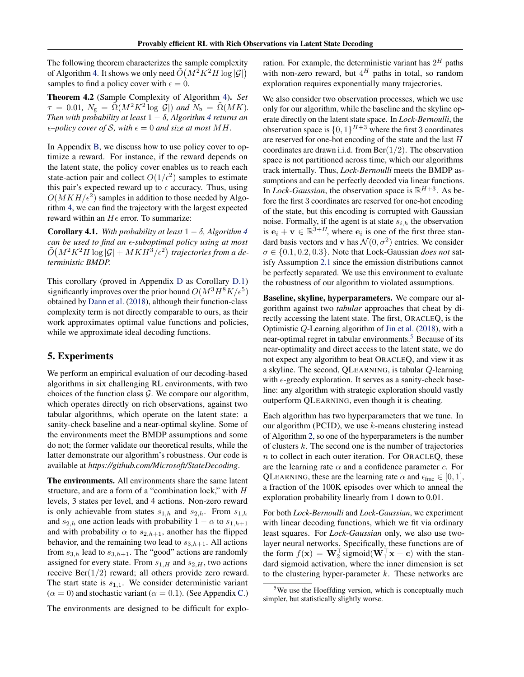The following theorem characterizes the sample complexity of Algorithm [4.](#page-5-0) It shows we only need  $\tilde{O}(M^2K^2H\log|\mathcal{G}|)$ samples to find a policy cover with  $\epsilon = 0$ .

Theorem 4.2 (Sample Complexity of Algorithm [4\)](#page-5-0). *Set*  $\tau = 0.01$ ,  $N_g = \tilde{\Omega}(M^2K^2 \log |\mathcal{G}|)$  and  $N_b = \tilde{\Omega}(MK)$ . *Then with probability at least*  $1 - \delta$ , *Algorithm [4](#page-5-0) returns an*  $\epsilon$ -policy cover of *S*, with  $\epsilon$  = 0 and size at most MH.

In Appendix [B,](#page-0-0) we discuss how to use policy cover to optimize a reward. For instance, if the reward depends on the latent state, the policy cover enables us to reach each state-action pair and collect  $O(1/\epsilon^2)$  samples to estimate this pair's expected reward up to  $\epsilon$  accuracy. Thus, using  $O(MKH/\epsilon^2)$  samples in addition to those needed by Algorithm [4,](#page-5-0) we can find the trajectory with the largest expected reward within an  $H\epsilon$  error. To summarize:

**Corollary [4](#page-5-0).1.** With probability at least  $1 - \delta$ , Algorithm 4 *can be used to find an* ✏*-suboptimal policy using at most*  $\tilde{O}\big(M^2K^2H\log|\mathcal{G}|+MKH^3/\epsilon^2\big)$  trajectories from a de*terministic BMDP.*

This corollary (proved in Appendix [D](#page-0-0) as Corollary [D.1\)](#page-0-0) significantly improves over the prior bound  $O(M^3H^8K/\epsilon^5)$ obtained by [Dann et al.](#page-8-0) [\(2018\)](#page-8-0), although their function-class complexity term is not directly comparable to ours, as their work approximates optimal value functions and policies, while we approximate ideal decoding functions.

# 5. Experiments

We perform an empirical evaluation of our decoding-based algorithms in six challenging RL environments, with two choices of the function class *G*. We compare our algorithm, which operates directly on rich observations, against two tabular algorithms, which operate on the latent state: a sanity-check baseline and a near-optimal skyline. Some of the environments meet the BMDP assumptions and some do not; the former validate our theoretical results, while the latter demonstrate our algorithm's robustness. Our code is available at *https://github.com/Microsoft/StateDecoding*.

The environments. All environments share the same latent structure, and are a form of a "combination lock," with *H* levels, 3 states per level, and 4 actions. Non-zero reward is only achievable from states *s*1*,h* and *s*2*,h*. From *s*1*,h* and  $s_{2,h}$  one action leads with probability  $1 - \alpha$  to  $s_{1,h+1}$ and with probability  $\alpha$  to  $s_{2,h+1}$ , another has the flipped behavior, and the remaining two lead to  $s_{3,h+1}$ . All actions from  $s_{3,h}$  lead to  $s_{3,h+1}$ . The "good" actions are randomly assigned for every state. From  $s_{1,H}$  and  $s_{2,H}$ , two actions receive  $\text{Ber}(1/2)$  reward; all others provide zero reward. The start state is  $s_{1,1}$ . We consider deterministic variant  $(\alpha = 0)$  and stochastic variant ( $\alpha = 0.1$ ). (See Appendix [C.](#page-0-0))

The environments are designed to be difficult for explo-

ration. For example, the deterministic variant has 2*<sup>H</sup>* paths with non-zero reward, but  $4^H$  paths in total, so random exploration requires exponentially many trajectories.

We also consider two observation processes, which we use only for our algorithm, while the baseline and the skyline operate directly on the latent state space. In *Lock-Bernoulli*, the observation space is  $\{0, 1\}^{H+3}$  where the first 3 coordinates are reserved for one-hot encoding of the state and the last *H* coordinates are drawn i.i.d. from Ber(1*/*2). The observation space is not partitioned across time, which our algorithms track internally. Thus, *Lock-Bernoulli* meets the BMDP assumptions and can be perfectly decoded via linear functions. In *Lock-Gaussian*, the observation space is  $\mathbb{R}^{H+3}$ . As before the first 3 coordinates are reserved for one-hot encoding of the state, but this encoding is corrupted with Gaussian noise. Formally, if the agent is at state *si,h* the observation is  $e_i + v \in \mathbb{R}^{3+H}$ , where  $e_i$  is one of the first three standard basis vectors and **v** has  $\mathcal{N}(0, \sigma^2)$  entries. We consider  $\sigma \in \{0.1, 0.2, 0.3\}$ . Note that Lock-Gaussian *does not* satisfy Assumption [2.1](#page-1-0) since the emission distributions cannot be perfectly separated. We use this environment to evaluate the robustness of our algorithm to violated assumptions.

Baseline, skyline, hyperparameters. We compare our algorithm against two *tabular* approaches that cheat by directly accessing the latent state. The first, ORACLEQ, is the Optimistic *Q*-Learning algorithm of [Jin et al.](#page-8-0) [\(2018\)](#page-8-0), with a near-optimal regret in tabular environments.<sup>5</sup> Because of its near-optimality and direct access to the latent state, we do not expect any algorithm to beat ORACLEQ, and view it as a skyline. The second, QLEARNING, is tabular *Q*-learning with  $\epsilon$ -greedy exploration. It serves as a sanity-check baseline: any algorithm with strategic exploration should vastly outperform QLEARNING, even though it is cheating.

Each algorithm has two hyperparameters that we tune. In our algorithm (PCID), we use *k*-means clustering instead of Algorithm [2,](#page-4-0) so one of the hyperparameters is the number of clusters *k*. The second one is the number of trajectories *n* to collect in each outer iteration. For ORACLEQ, these are the learning rate  $\alpha$  and a confidence parameter  $c$ . For QLEARNING, these are the learning rate  $\alpha$  and  $\epsilon_{\text{frac}} \in [0, 1]$ , a fraction of the 100K episodes over which to anneal the exploration probability linearly from 1 down to 0.01.

For both *Lock-Bernoulli* and *Lock-Gaussian*, we experiment with linear decoding functions, which we fit via ordinary least squares. For *Lock-Gaussian* only, we also use twolayer neural networks. Specifically, these functions are of the form  $f(\mathbf{x}) = \mathbf{W}_2^{\dagger}$  sigmoid $(\mathbf{W}_1^{\dagger} \mathbf{x} + \mathbf{c})$  with the standard sigmoid activation, where the inner dimension is set to the clustering hyper-parameter *k*. These networks are

<sup>&</sup>lt;sup>5</sup>We use the Hoeffding version, which is conceptually much simpler, but statistically slightly worse.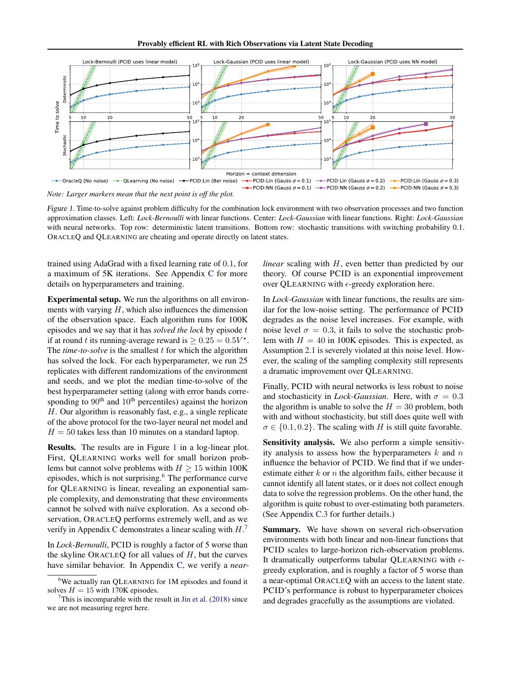

*Figure 1.* Time-to-solve against problem difficulty for the combination lock environment with two observation processes and two function approximation classes. Left: *Lock-Bernoulli* with linear functions. Center: *Lock-Gaussian* with linear functions. Right: *Lock-Gaussian* with neural networks. Top row: deterministic latent transitions. Bottom row: stochastic transitions with switching probability 0.1. ORACLEQ and QLEARNING are cheating and operate directly on latent states.

trained using AdaGrad with a fixed learning rate of 0*.*1, for a maximum of 5K iterations. See Appendix [C](#page-0-0) for more details on hyperparameters and training.

Experimental setup. We run the algorithms on all environments with varying *H*, which also influences the dimension of the observation space. Each algorithm runs for 100K episodes and we say that it has *solved the lock* by episode *t* if at round *t* its running-average reward is  $> 0.25 = 0.5V^*$ . The *time-to-solve* is the smallest *t* for which the algorithm has solved the lock. For each hyperparameter, we run 25 replicates with different randomizations of the environment and seeds, and we plot the median time-to-solve of the best hyperparameter setting (along with error bands corresponding to  $90<sup>th</sup>$  and  $10<sup>th</sup>$  percentiles) against the horizon *H*. Our algorithm is reasonably fast, e.g., a single replicate of the above protocol for the two-layer neural net model and  $H = 50$  takes less than 10 minutes on a standard laptop.

Results. The results are in Figure 1 in a log-linear plot. First, QLEARNING works well for small horizon problems but cannot solve problems with  $H \ge 15$  within 100K episodes, which is not surprising. $6$  The performance curve for QLEARNING is linear, revealing an exponential sample complexity, and demonstrating that these environments cannot be solved with naïve exploration. As a second observation, ORACLEQ performs extremely well, and as we verify in Appendix [C](#page-0-0) demonstrates a linear scaling with *H*. 7

In *Lock-Bernoulli*, PCID is roughly a factor of 5 worse than the skyline ORACLEQ for all values of *H*, but the curves have similar behavior. In Appendix [C,](#page-0-0) we verify a *near-* *linear* scaling with *H*, even better than predicted by our theory. Of course PCID is an exponential improvement over QLEARNING with  $\epsilon$ -greedy exploration here.

In *Lock-Gaussian* with linear functions, the results are similar for the low-noise setting. The performance of PCID degrades as the noise level increases. For example, with noise level  $\sigma = 0.3$ , it fails to solve the stochastic problem with  $H = 40$  in 100K episodes. This is expected, as Assumption [2.1](#page-1-0) is severely violated at this noise level. However, the scaling of the sampling complexity still represents a dramatic improvement over QLEARNING.

Finally, PCID with neural networks is less robust to noise and stochasticity in *Lock-Gaussian*. Here, with  $\sigma = 0.3$ the algorithm is unable to solve the  $H = 30$  problem, both with and without stochasticity, but still does quite well with  $\sigma \in \{0.1, 0.2\}$ . The scaling with *H* is still quite favorable.

Sensitivity analysis. We also perform a simple sensitivity analysis to assess how the hyperparameters *k* and *n* influence the behavior of PCID. We find that if we underestimate either *k* or *n* the algorithm fails, either because it cannot identify all latent states, or it does not collect enough data to solve the regression problems. On the other hand, the algorithm is quite robust to over-estimating both parameters. (See Appendix [C.3](#page-0-0) for further details.)

Summary. We have shown on several rich-observation environments with both linear and non-linear functions that PCID scales to large-horizon rich-observation problems. It dramatically outperforms tabular QLEARNING with  $\epsilon$ greedy exploration, and is roughly a factor of 5 worse than a near-optimal ORACLEQ with an access to the latent state. PCID's performance is robust to hyperparameter choices and degrades gracefully as the assumptions are violated.

<sup>&</sup>lt;sup>6</sup>We actually ran QLEARNING for 1M episodes and found it solves  $H = 15$  with 170K episodes.

 $7$ This is incomparable with the result in [Jin et al.](#page-8-0) [\(2018\)](#page-8-0) since we are not measuring regret here.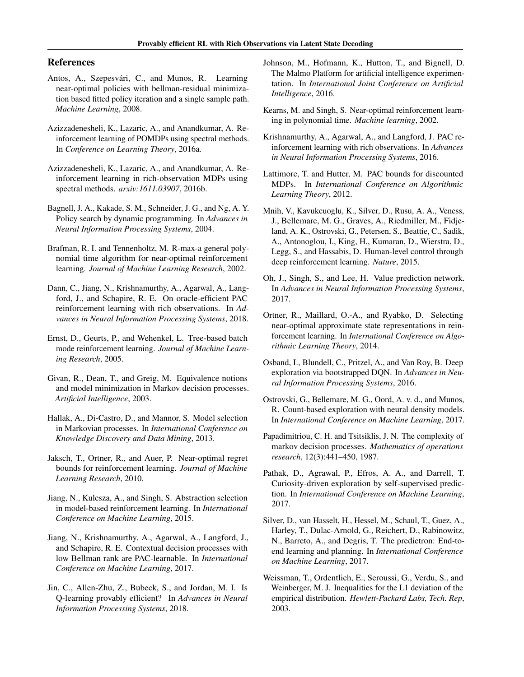## <span id="page-8-0"></span>References

- Antos, A., Szepesvári, C., and Munos, R. Learning near-optimal policies with bellman-residual minimization based fitted policy iteration and a single sample path. *Machine Learning*, 2008.
- Azizzadenesheli, K., Lazaric, A., and Anandkumar, A. Reinforcement learning of POMDPs using spectral methods. In *Conference on Learning Theory*, 2016a.
- Azizzadenesheli, K., Lazaric, A., and Anandkumar, A. Reinforcement learning in rich-observation MDPs using spectral methods. *arxiv:1611.03907*, 2016b.
- Bagnell, J. A., Kakade, S. M., Schneider, J. G., and Ng, A. Y. Policy search by dynamic programming. In *Advances in Neural Information Processing Systems*, 2004.
- Brafman, R. I. and Tennenholtz, M. R-max-a general polynomial time algorithm for near-optimal reinforcement learning. *Journal of Machine Learning Research*, 2002.
- Dann, C., Jiang, N., Krishnamurthy, A., Agarwal, A., Langford, J., and Schapire, R. E. On oracle-efficient PAC reinforcement learning with rich observations. In *Advances in Neural Information Processing Systems*, 2018.
- Ernst, D., Geurts, P., and Wehenkel, L. Tree-based batch mode reinforcement learning. *Journal of Machine Learning Research*, 2005.
- Givan, R., Dean, T., and Greig, M. Equivalence notions and model minimization in Markov decision processes. *Artificial Intelligence*, 2003.
- Hallak, A., Di-Castro, D., and Mannor, S. Model selection in Markovian processes. In *International Conference on Knowledge Discovery and Data Mining*, 2013.
- Jaksch, T., Ortner, R., and Auer, P. Near-optimal regret bounds for reinforcement learning. *Journal of Machine Learning Research*, 2010.
- Jiang, N., Kulesza, A., and Singh, S. Abstraction selection in model-based reinforcement learning. In *International Conference on Machine Learning*, 2015.
- Jiang, N., Krishnamurthy, A., Agarwal, A., Langford, J., and Schapire, R. E. Contextual decision processes with low Bellman rank are PAC-learnable. In *International Conference on Machine Learning*, 2017.
- Jin, C., Allen-Zhu, Z., Bubeck, S., and Jordan, M. I. Is Q-learning provably efficient? In *Advances in Neural Information Processing Systems*, 2018.
- Johnson, M., Hofmann, K., Hutton, T., and Bignell, D. The Malmo Platform for artificial intelligence experimentation. In *International Joint Conference on Artificial Intelligence*, 2016.
- Kearns, M. and Singh, S. Near-optimal reinforcement learning in polynomial time. *Machine learning*, 2002.
- Krishnamurthy, A., Agarwal, A., and Langford, J. PAC reinforcement learning with rich observations. In *Advances in Neural Information Processing Systems*, 2016.
- Lattimore, T. and Hutter, M. PAC bounds for discounted MDPs. In *International Conference on Algorithmic Learning Theory*, 2012.
- Mnih, V., Kavukcuoglu, K., Silver, D., Rusu, A. A., Veness, J., Bellemare, M. G., Graves, A., Riedmiller, M., Fidjeland, A. K., Ostrovski, G., Petersen, S., Beattie, C., Sadik, A., Antonoglou, I., King, H., Kumaran, D., Wierstra, D., Legg, S., and Hassabis, D. Human-level control through deep reinforcement learning. *Nature*, 2015.
- Oh, J., Singh, S., and Lee, H. Value prediction network. In *Advances in Neural Information Processing Systems*, 2017.
- Ortner, R., Maillard, O.-A., and Ryabko, D. Selecting near-optimal approximate state representations in reinforcement learning. In *International Conference on Algorithmic Learning Theory*, 2014.
- Osband, I., Blundell, C., Pritzel, A., and Van Roy, B. Deep exploration via bootstrapped DQN. In *Advances in Neural Information Processing Systems*, 2016.
- Ostrovski, G., Bellemare, M. G., Oord, A. v. d., and Munos, R. Count-based exploration with neural density models. In *International Conference on Machine Learning*, 2017.
- Papadimitriou, C. H. and Tsitsiklis, J. N. The complexity of markov decision processes. *Mathematics of operations research*, 12(3):441–450, 1987.
- Pathak, D., Agrawal, P., Efros, A. A., and Darrell, T. Curiosity-driven exploration by self-supervised prediction. In *International Conference on Machine Learning*, 2017.
- Silver, D., van Hasselt, H., Hessel, M., Schaul, T., Guez, A., Harley, T., Dulac-Arnold, G., Reichert, D., Rabinowitz, N., Barreto, A., and Degris, T. The predictron: End-toend learning and planning. In *International Conference on Machine Learning*, 2017.
- Weissman, T., Ordentlich, E., Seroussi, G., Verdu, S., and Weinberger, M. J. Inequalities for the L1 deviation of the empirical distribution. *Hewlett-Packard Labs, Tech. Rep*, 2003.